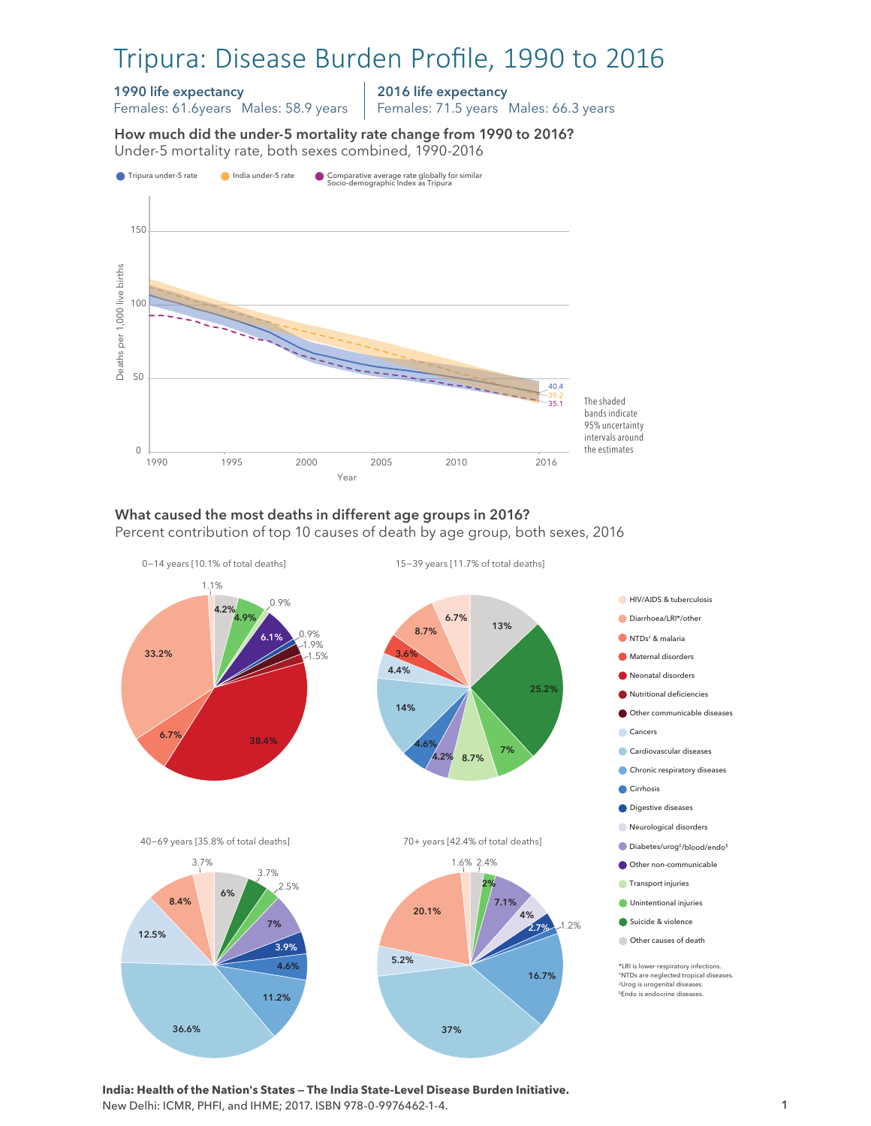# Tripura: Disease Burden Profile, 1990 to 2016

#### 1990 life expectancy

Females: 61.6years Males: 58.9 years

2016 life expectancy

Females: 71.5 years Males: 66.3 years

How much did the under-5 mortality rate change from 1990 to 2016? Under-5 mortality rate, both sexes combined, 1990-2016 Under-5 mortality rate, both sexes combined, 1990-2016 How much did the under-5 mortality rate change from 1990 to 2016?



#### What caused the most deaths in different age groups in 2016? Percent contribution of top 10 causes of death by age group, both sexes, 2016



**India: Health of the Nation's States — The India State-Level Disease Burden Initiative.**  New Delhi: ICMR, PHFI, and IHME; 2017. ISBN 978-0-9976462-1-4.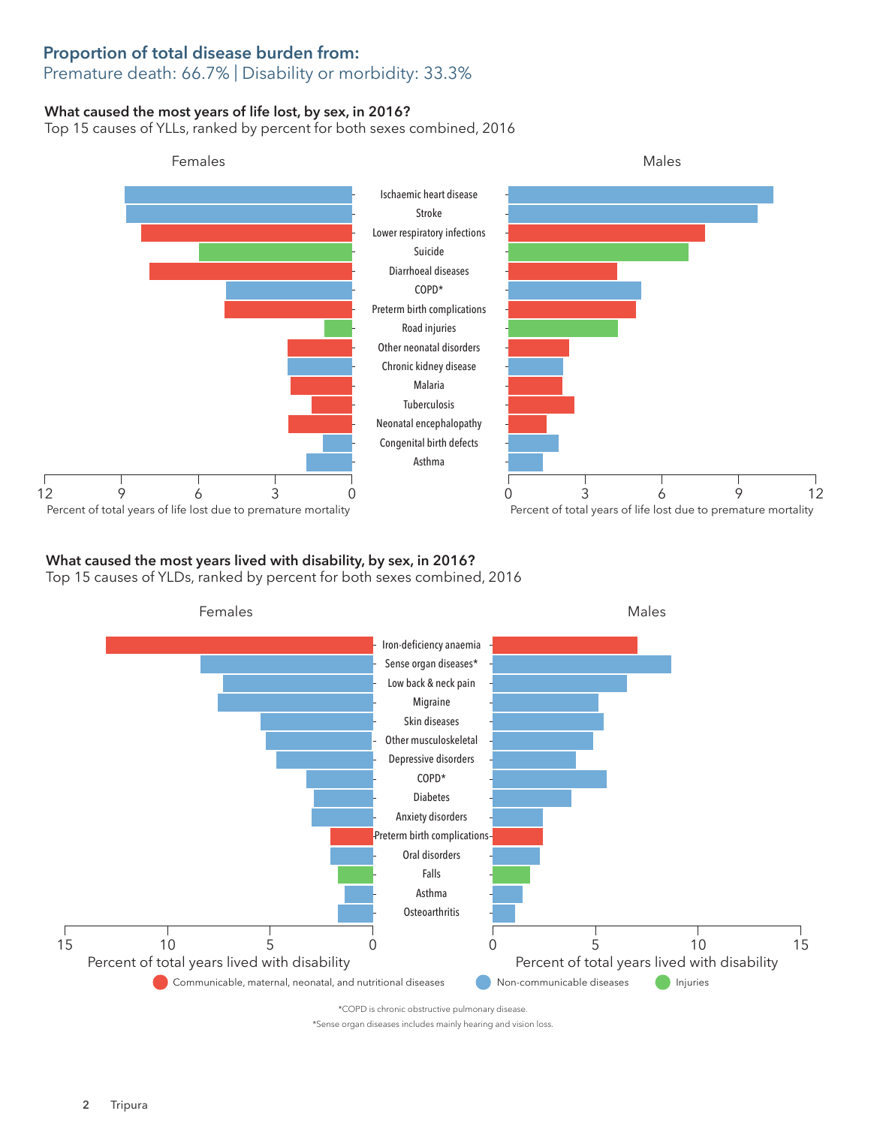### Proportion of total disease burden from: Premature death: 66.7% | Disability or morbidity: 33.3%

### What caused the most years of life lost, by sex, in 2016?

Top 15 causes of YLLs, ranked by percent for both sexes combined, 2016



# What caused the most years lived with disability, by sex, in 2016?

Top 15 causes of YLDs, ranked by percent for both sexes combined, 2016



\*Sense organ diseases includes mainly hearing and vision loss.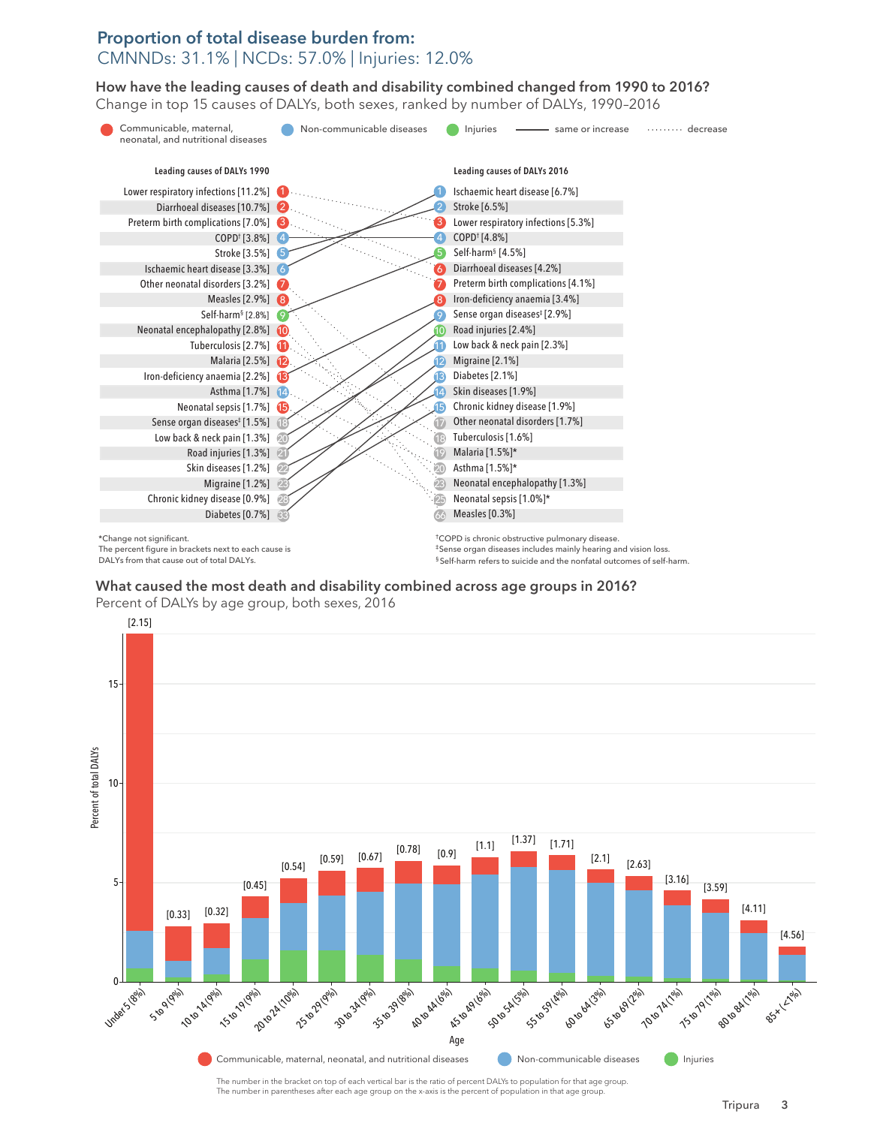## Proportion of total disease burden from: CMNNDs: 31.1% | NCDs: 57.0% | Injuries: 12.0%

How have the leading causes of death and disability combined changed from 1990 to 2016? How have the leading causes of death and disability combined changed from 1990 to 2016? Change in top 15 causes of DALYs, both sexes, ranked by number of DALYs, 1990–2016 Change in top 15 causes of DALYs, both sexes, ranked by number of DALYs, 1990–2016



What caused the most death and disability combined across age groups in 2016?

Percent of DALYs by age group, both sexes, 2016



The number in parentheses after each age group on the x-axis is the percent of population in that age group.